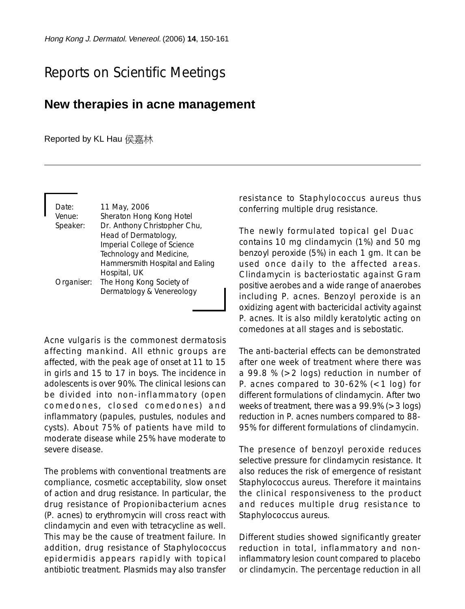## Reports on Scientific Meetings

## **New therapies in acne management**

Reported by KL Hau 侯嘉林

| Date:<br>Venue:<br>Speaker: | 11 May, 2006<br>Sheraton Hong Kong Hotel<br>Dr. Anthony Christopher Chu,<br>Head of Dermatology,<br>Imperial College of Science<br>Technology and Medicine,<br>Hammersmith Hospital and Ealing |
|-----------------------------|------------------------------------------------------------------------------------------------------------------------------------------------------------------------------------------------|
| Organiser:                  | Hospital, UK<br>The Hong Kong Society of<br>Dermatology & Venereology                                                                                                                          |

Acne vulgaris is the commonest dermatosis affecting mankind. All ethnic groups are affected, with the peak age of onset at 11 to 15 in girls and 15 to 17 in boys. The incidence in adolescents is over 90%. The clinical lesions can be divided into non-inflammatory (open comedones, closed comedones) and inflammatory (papules, pustules, nodules and cysts). About 75% of patients have mild to moderate disease while 25% have moderate to severe disease.

The problems with conventional treatments are compliance, cosmetic acceptability, slow onset of action and drug resistance. In particular, the drug resistance of Propionibacterium acnes (P. acnes) to erythromycin will cross react with clindamycin and even with tetracycline as well. This may be the cause of treatment failure. In addition, drug resistance of Staphylococcus epidermidis appears rapidly with topical antibiotic treatment. Plasmids may also transfer resistance to Staphylococcus aureus thus conferring multiple drug resistance.

The newly formulated topical gel Duac contains 10 mg clindamycin (1%) and 50 mg benzoyl peroxide (5%) in each 1 gm. It can be used once daily to the affected areas. Clindamycin is bacteriostatic against Gram positive aerobes and a wide range of anaerobes including P. acnes. Benzoyl peroxide is an oxidizing agent with bactericidal activity against P. acnes. It is also mildly keratolytic acting on comedones at all stages and is sebostatic.

The anti-bacterial effects can be demonstrated after one week of treatment where there was a 99.8 % (>2 logs) reduction in number of P. acnes compared to  $30-62%$  (<1 log) for different formulations of clindamycin. After two weeks of treatment, there was a 99.9% (>3 logs) reduction in P. acnes numbers compared to 88- 95% for different formulations of clindamycin.

The presence of benzoyl peroxide reduces selective pressure for clindamycin resistance. It also reduces the risk of emergence of resistant Staphylococcus aureus. Therefore it maintains the clinical responsiveness to the product and reduces multiple drug resistance to Staphylococcus aureus.

Different studies showed significantly greater reduction in total, inflammatory and noninflammatory lesion count compared to placebo or clindamycin. The percentage reduction in all